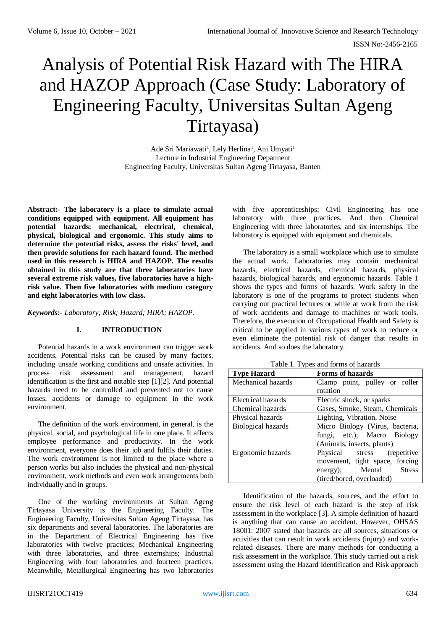# Analysis of Potential Risk Hazard with The HIRA and HAZOP Approach (Case Study: Laboratory of Engineering Faculty, Universitas Sultan Ageng Tirtayasa)

Ade Sri Mariawati<sup>1</sup>, Lely Herlina<sup>1</sup>, Ani Umyati<sup>1</sup> Lecture in Industrial Engineering Depatment Engineering Faculty, Universitas Sultan Ageng Tirtayasa, Banten

**Abstract:- The laboratory is a place to simulate actual conditions equipped with equipment. All equipment has potential hazards: mechanical, electrical, chemical, physical, biological and ergonomic. This study aims to determine the potential risks, assess the risks' level, and then provide solutions for each hazard found. The method used in this research is HIRA and HAZOP. The results obtained in this study are that three laboratories have several extreme risk values, five laboratories have a highrisk value. Then five laboratories with medium category and eight laboratories with low class.** 

*Keywords:- Laboratory; Risk; Hazard; HIRA; HAZOP.*

## **I. INTRODUCTION**

Potential hazards in a work environment can trigger work accidents. Potential risks can be caused by many factors, including unsafe working conditions and unsafe activities. In process risk assessment and management, hazard identification is the first and notable step [1][2]. And potential hazards need to be controlled and prevented not to cause losses, accidents or damage to equipment in the work environment.

The definition of the work environment, in general, is the physical, social, and psychological life in one place. It affects employee performance and productivity. In the work environment, everyone does their job and fulfils their duties. The work environment is not limited to the place where a person works but also includes the physical and non-physical environment, work methods and even work arrangements both individually and in groups.

One of the working environments at Sultan Ageng Tirtayasa University is the Engineering Faculty. The Engineering Faculty, Universitas Sultan Ageng Tirtayasa, has six departments and several laboratories. The laboratories are in the Department of Electrical Engineering has five laboratories with twelve practices; Mechanical Engineering with three laboratories, and three externships; Industrial Engineering with four laboratories and fourteen practices. Meanwhile, Metallurgical Engineering has two laboratories

with five apprenticeships; Civil Engineering has one laboratory with three practices. And then Chemical Engineering with three laboratories, and six internships. The laboratory is equipped with equipment and chemicals.

The laboratory is a small workplace which use to simulate the actual work. Laboratories may contain mechanical hazards, electrical hazards, chemical hazards, physical hazards, biological hazards, and ergonomic hazards. Table 1 shows the types and forms of hazards. Work safety in the laboratory is one of the programs to protect students when carrying out practical lectures or while at work from the risk of work accidents and damage to machines or work tools. Therefore, the execution of Occupational Health and Safety is critical to be applied in various types of work to reduce or even eliminate the potential risk of danger that results in accidents. And so does the laboratory.

| Forms of hazards<br><b>Type Hazard</b> |                                 |  |  |  |  |  |
|----------------------------------------|---------------------------------|--|--|--|--|--|
| Mechanical hazards                     | Clamp point, pulley or roller   |  |  |  |  |  |
|                                        | rotation                        |  |  |  |  |  |
| Electrical hazards                     | Electric shock, or sparks       |  |  |  |  |  |
| Chemical hazards                       | Gases, Smoke, Steam, Chemicals  |  |  |  |  |  |
| Physical hazards                       | Lighting, Vibration, Noise      |  |  |  |  |  |
| <b>Biological hazards</b>              | Micro Biology (Virus, bacteria, |  |  |  |  |  |
|                                        | fungi, etc.); Macro Biology     |  |  |  |  |  |
|                                        | (Animals, insects, plants)      |  |  |  |  |  |
| Ergonomic hazards                      | (repetitive<br>Physical stress  |  |  |  |  |  |
|                                        | movement, tight space, forcing  |  |  |  |  |  |
|                                        | energy); Mental Stress          |  |  |  |  |  |
|                                        | (tired/bored, overloaded)       |  |  |  |  |  |

Table 1. Types and forms of hazards

Identification of the hazards, sources, and the effort to ensure the risk level of each hazard is the step of risk assessment in the workplace [3]. A simple definition of hazard is anything that can cause an accident. However, OHSAS 18001: 2007 stated that hazards are all sources, situations or activities that can result in work accidents (injury) and workrelated diseases. There are many methods for conducting a risk assessment in the workplace. This study carried out a risk assessment using the Hazard Identification and Risk approach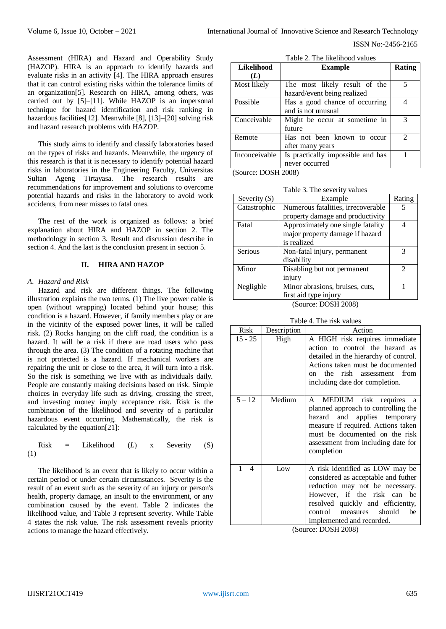Assessment (HIRA) and Hazard and Operability Study (HAZOP). HIRA is an approach to identify hazards and evaluate risks in an activity [4]. The HIRA approach ensures that it can control existing risks within the tolerance limits of an organization[5]. Research on HIRA, among others, was carried out by [5]–[11]. While HAZOP is an impersonal technique for hazard identification and risk ranking in hazardous facilities[12]. Meanwhile [8], [13]–[20] solving risk and hazard research problems with HAZOP.

This study aims to identify and classify laboratories based on the types of risks and hazards. Meanwhile, the urgency of this research is that it is necessary to identify potential hazard risks in laboratories in the Engineering Faculty, Universitas Sultan Ageng Tirtayasa. The research results are recommendations for improvement and solutions to overcome potential hazards and risks in the laboratory to avoid work accidents, from near misses to fatal ones.

The rest of the work is organized as follows: a brief explanation about HIRA and HAZOP in section 2. The methodology in section 3. Result and discussion describe in section 4. And the last is the conclusion present in section 5.

#### **II. HIRA AND HAZOP**

#### *A. Hazard and Risk*

Hazard and risk are different things. The following illustration explains the two terms. (1) The live power cable is open (without wrapping) located behind your house; this condition is a hazard. However, if family members play or are in the vicinity of the exposed power lines, it will be called risk. (2) Rocks hanging on the cliff road, the condition is a hazard. It will be a risk if there are road users who pass through the area. (3) The condition of a rotating machine that is not protected is a hazard. If mechanical workers are repairing the unit or close to the area, it will turn into a risk. So the risk is something we live with as individuals daily. People are constantly making decisions based on risk. Simple choices in everyday life such as driving, crossing the street, and investing money imply acceptance risk. Risk is the combination of the likelihood and severity of a particular hazardous event occurring. Mathematically, the risk is calculated by the equation[21]:

Risk = Likelihood 
$$
(L)
$$
 x Severity  $(S)$  (1)

The likelihood is an event that is likely to occur within a certain period or under certain circumstances. Severity is the result of an event such as the severity of an injury or person's health, property damage, an insult to the environment, or any combination caused by the event. Table 2 indicates the likelihood value, and Table 3 represent severity. While Table 4 states the risk value. The risk assessment reveals priority actions to manage the hazard effectively.

| <b>Likelihood</b> | <b>Example</b>                    | <b>Rating</b>  |
|-------------------|-----------------------------------|----------------|
| (L)               |                                   |                |
| Most likely       | The most likely result of the     | 5              |
|                   | hazard/event being realized       |                |
| Possible          | Has a good chance of occurring    |                |
|                   | and is not unusual                |                |
| Conceivable       | Might be occur at sometime in     | 3              |
|                   | future                            |                |
| Remote            | Has not been known to occur       | $\mathfrak{D}$ |
|                   | after many years                  |                |
| Inconceivable     | Is practically impossible and has |                |
|                   | never occurred                    |                |

Table 2. The likelihood values

(Source: DOSH 2008)

| Table 3. The severity values |  |  |  |  |
|------------------------------|--|--|--|--|
|------------------------------|--|--|--|--|

| Severity $(S)$ | Example                            | Rating                      |
|----------------|------------------------------------|-----------------------------|
| Catastrophic   | Numerous fatalities, irrecoverable |                             |
|                | property damage and productivity   |                             |
| Fatal          | Approximately one single fatality  |                             |
|                | major property damage if hazard    |                             |
|                | is realized                        |                             |
| Serious        | Non-fatal injury, permanent        | 3                           |
|                | disability                         |                             |
| Minor          | Disabling but not permanent        | $\mathcal{D}_{\mathcal{L}}$ |
|                | injury                             |                             |
| Negligble      | Minor abrasions, bruises, cuts,    |                             |
|                | first aid type injury              |                             |
|                | (Source: DOSH 2008)                |                             |

Table 4. The risk values

| Risk      | Description | Action                                                                                                                                                                                                                                               |
|-----------|-------------|------------------------------------------------------------------------------------------------------------------------------------------------------------------------------------------------------------------------------------------------------|
| $15 - 25$ | High        | A HIGH risk requires immediate<br>action to control the hazard as<br>detailed in the hierarchy of control.<br>Actions taken must be documented<br>the rish assessment from<br>$\alpha$<br>including date dor completion.                             |
| $5 - 12$  | Medium      | MEDIUM risk requires<br>A<br>a<br>planned approach to controlling the<br>and applies temporary<br>hazard<br>measure if required. Actions taken<br>must be documented on the risk<br>assessment from including date for<br>completion                 |
| $1 - 4$   | Low         | A risk identified as LOW may be<br>considered as acceptable and futher<br>reduction may not be necessary.<br>However, if the risk can<br>be<br>resolved quickly and efficientty,<br>control<br>should<br>be<br>measures<br>implemented and recorded. |

(Source: DOSH 2008)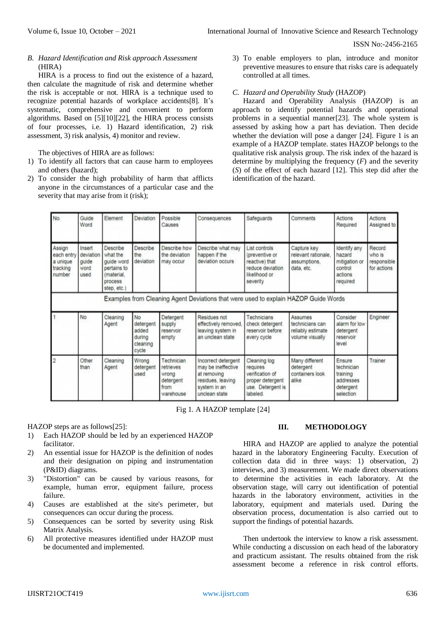## *B. Hazard Identification and Risk approach Assessment*  (HIRA)

HIRA is a process to find out the existence of a hazard, then calculate the magnitude of risk and determine whether the risk is acceptable or not. HIRA is a technique used to recognize potential hazards of workplace accidents[8]. It's systematic, comprehensive and convenient to perform algorithms. Based on [5][10][22], the HIRA process consists of four processes, i.e. 1) Hazard identification, 2) risk assessment, 3) risk analysis, 4) monitor and review.

The objectives of HIRA are as follows:

- 1) To identify all factors that can cause harm to employees and others (hazard);
- 2) To consider the high probability of harm that afflicts anyone in the circumstances of a particular case and the severity that may arise from it (risk);

3) To enable employers to plan, introduce and monitor preventive measures to ensure that risks care is adequately controlled at all times.

## *C. Hazard and Operability Study* (HAZOP)

Hazard and Operability Analysis (HAZOP) is an approach to identify potential hazards and operational problems in a sequential manner[23]. The whole system is assessed by asking how a part has deviation. Then decide whether the deviation will pose a danger [24]. Figure 1 is an example of a HAZOP template. states HAZOP belongs to the qualitative risk analysis group. The risk index of the hazard is determine by multiplying the frequency  $(F)$  and the severity (*S*) of the effect of each hazard [12]. This step did after the identification of the hazard.

| No.                                                    | Guide<br>Word                                | Element                                                                                    | Deviation                                               | Possible<br>Causes                                                 | Consequences                                                                                                   | Safeguards                                                                                         | Comments                                                           | Actions<br>Required                                                       | Actions<br>Assigned to                         |
|--------------------------------------------------------|----------------------------------------------|--------------------------------------------------------------------------------------------|---------------------------------------------------------|--------------------------------------------------------------------|----------------------------------------------------------------------------------------------------------------|----------------------------------------------------------------------------------------------------|--------------------------------------------------------------------|---------------------------------------------------------------------------|------------------------------------------------|
| Assign<br>each entry<br>a unique<br>tracking<br>number | Insert<br>deviation<br>guide<br>word<br>used | Describe<br>what the<br>quide word<br>pertains to<br>(material.<br>process.<br>step. etc.) | Describe<br>the<br>deviation                            | Describe how<br>the deviation<br>may occur                         | Describe what may<br>happen if the<br>deviation occurs                                                         | List controls<br>(preventive or<br>reactive) that<br>reduce deviation<br>likelihood or<br>severity | Capture key<br>relevant rationale.<br>assumptions.<br>data, etc.   | Identify any<br>hazard<br>mitigation or<br>control<br>actions<br>required | Record<br>who is<br>responsible<br>for actions |
|                                                        |                                              |                                                                                            |                                                         |                                                                    | Examples from Cleaning Agent Deviations that were used to explain HAZOP Guide Words                            |                                                                                                    |                                                                    |                                                                           |                                                |
|                                                        | No                                           | Cleaning<br>Agent                                                                          | No<br>detergent<br>added<br>durina<br>cleaning<br>cycle | Detergent<br>supply<br>reservoir<br>empty                          | Residues not<br>effectively removed.<br>leaving system in<br>an unclean state                                  | Technicians<br>check detergent<br>reservoir before<br>every cycle                                  | Assumes<br>technicians can<br>reliably estimate<br>volume visually | Consider<br>alarm for low<br>detergent<br>reservoir<br>level              | Engineer                                       |
| $\overline{2}$                                         | Other<br>than                                | Cleaning<br>Agent                                                                          | Wrong<br>detergent<br>used                              | Technician<br>retrieves<br>wrong<br>detergent<br>from<br>warehouse | Incorrect detergent<br>may be ineffective<br>at removing<br>residues, leaving<br>system in an<br>unclean state | Cleaning log<br>requires<br>verification of<br>proper detergent<br>use. Detergent is<br>labeled.   | Many different<br>detergent<br>containers look<br>alike            | Ensure<br>technician<br>training<br>addresses<br>detergent<br>selection   | Trainer                                        |

Fig 1. A HAZOP template [24]

HAZOP steps are as follows[25]:

- 1) Each HAZOP should be led by an experienced HAZOP facilitator.
- 2) An essential issue for HAZOP is the definition of nodes and their designation on piping and instrumentation (P&ID) diagrams.
- 3) "Distortion" can be caused by various reasons, for example, human error, equipment failure, process failure.
- 4) Causes are established at the site's perimeter, but consequences can occur during the process.
- 5) Consequences can be sorted by severity using Risk Matrix Analysis.
- 6) All protective measures identified under HAZOP must be documented and implemented.

## **III. METHODOLOGY**

HIRA and HAZOP are applied to analyze the potential hazard in the laboratory Engineering Faculty. Execution of collection data did in three ways: 1) observation, 2) interviews, and 3) measurement. We made direct observations to determine the activities in each laboratory. At the observation stage, will carry out identification of potential hazards in the laboratory environment, activities in the laboratory, equipment and materials used. During the observation process, documentation is also carried out to support the findings of potential hazards.

Then undertook the interview to know a risk assessment. While conducting a discussion on each head of the laboratory and practicum assistant. The results obtained from the risk assessment become a reference in risk control efforts.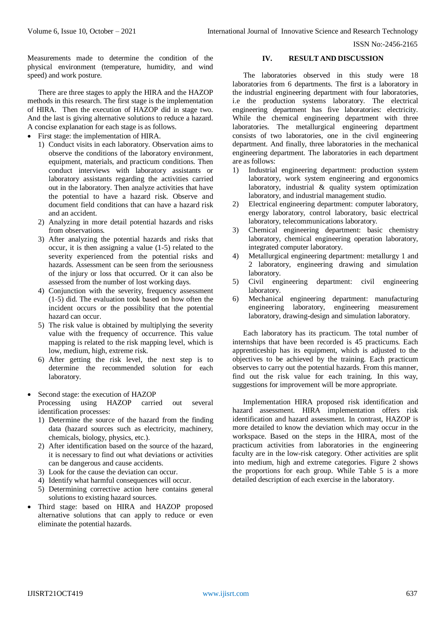Measurements made to determine the condition of the physical environment (temperature, humidity, and wind speed) and work posture.

There are three stages to apply the HIRA and the HAZOP methods in this research. The first stage is the implementation of HIRA. Then the execution of HAZOP did in stage two. And the last is giving alternative solutions to reduce a hazard. A concise explanation for each stage is as follows.

- First stage: the implementation of HIRA.
	- 1) Conduct visits in each laboratory. Observation aims to observe the conditions of the laboratory environment, equipment, materials, and practicum conditions. Then conduct interviews with laboratory assistants or laboratory assistants regarding the activities carried out in the laboratory. Then analyze activities that have the potential to have a hazard risk. Observe and document field conditions that can have a hazard risk and an accident.
	- 2) Analyzing in more detail potential hazards and risks from observations.
	- 3) After analyzing the potential hazards and risks that occur, it is then assigning a value (1-5) related to the severity experienced from the potential risks and hazards. Assessment can be seen from the seriousness of the injury or loss that occurred. Or it can also be assessed from the number of lost working days.
	- 4) Conjunction with the severity, frequency assessment (1-5) did. The evaluation took based on how often the incident occurs or the possibility that the potential hazard can occur.
	- 5) The risk value is obtained by multiplying the severity value with the frequency of occurrence. This value mapping is related to the risk mapping level, which is low, medium, high, extreme risk.
	- 6) After getting the risk level, the next step is to determine the recommended solution for each laboratory.
- Second stage: the execution of HAZOP Processing using HAZOP carried out several identification processes:
	- 1) Determine the source of the hazard from the finding data (hazard sources such as electricity, machinery, chemicals, biology, physics, etc.).
	- 2) After identification based on the source of the hazard, it is necessary to find out what deviations or activities can be dangerous and cause accidents.
	- 3) Look for the cause the deviation can occur.
	- 4) Identify what harmful consequences will occur.
	- 5) Determining corrective action here contains general solutions to existing hazard sources.
- Third stage: based on HIRA and HAZOP proposed alternative solutions that can apply to reduce or even eliminate the potential hazards.

#### **IV. RESULT AND DISCUSSION**

The laboratories observed in this study were 18 laboratories from 6 departments. The first is a laboratory in the industrial engineering department with four laboratories, i.e the production systems laboratory. The electrical engineering department has five laboratories: electricity. While the chemical engineering department with three laboratories. The metallurgical engineering department consists of two laboratories, one in the civil engineering department. And finally, three laboratories in the mechanical engineering department. The laboratories in each department are as follows:

- 1) Industrial engineering department: production system laboratory, work system engineering and ergonomics laboratory, industrial & quality system optimization laboratory, and industrial management studio.
- 2) Electrical engineering department: computer laboratory, energy laboratory, control laboratory, basic electrical laboratory, telecommunications laboratory.
- 3) Chemical engineering department: basic chemistry laboratory, chemical engineering operation laboratory, integrated computer laboratory.
- 4) Metallurgical engineering department: metallurgy 1 and 2 laboratory, engineering drawing and simulation laboratory.
- 5) Civil engineering department: civil engineering laboratory.
- 6) Mechanical engineering department: manufacturing engineering laboratory, engineering measurement laboratory, drawing-design and simulation laboratory.

Each laboratory has its practicum. The total number of internships that have been recorded is 45 practicums. Each apprenticeship has its equipment, which is adjusted to the objectives to be achieved by the training. Each practicum observes to carry out the potential hazards. From this manner, find out the risk value for each training. In this way, suggestions for improvement will be more appropriate.

Implementation HIRA proposed risk identification and hazard assessment. HIRA implementation offers risk identification and hazard assessment. In contrast, HAZOP is more detailed to know the deviation which may occur in the workspace. Based on the steps in the HIRA, most of the practicum activities from laboratories in the engineering faculty are in the low-risk category. Other activities are split into medium, high and extreme categories. Figure 2 shows the proportions for each group. While Table 5 is a more detailed description of each exercise in the laboratory.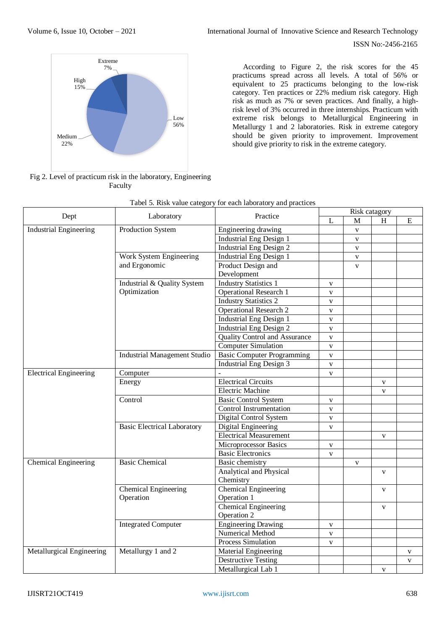

According to Figure 2, the risk scores for the 45 practicums spread across all levels. A total of 56% or equivalent to 25 practicums belonging to the low-risk category. Ten practices or 22% medium risk category. High risk as much as 7% or seven practices. And finally, a highrisk level of 3% occurred in three internships. Practicum with extreme risk belongs to Metallurgical Engineering in Metallurgy 1 and 2 laboratories. Risk in extreme category should be given priority to improvement. Improvement should give priority to risk in the extreme category.

Fig 2. Level of practicum risk in the laboratory, Engineering Faculty

|                               |                                     | Practice                             | Risk catagory |                         |              |              |
|-------------------------------|-------------------------------------|--------------------------------------|---------------|-------------------------|--------------|--------------|
| Dept                          | Laboratory                          |                                      | L             | M                       | H            | E            |
| <b>Industrial Engineering</b> | Production System                   | Engineering drawing                  |               | $\overline{\mathbf{V}}$ |              |              |
|                               |                                     | <b>Industrial Eng Design 1</b>       |               | $\mathbf{V}$            |              |              |
|                               |                                     | <b>Industrial Eng Design 2</b>       |               | $\mathbf{V}$            |              |              |
|                               | Work System Engineering             | <b>Industrial Eng Design 1</b>       |               | $\mathbf{V}$            |              |              |
|                               | and Ergonomic                       | Product Design and                   |               | $\mathbf{V}$            |              |              |
|                               |                                     | Development                          |               |                         |              |              |
|                               | Industrial & Quality System         | <b>Industry Statistics 1</b>         | $\mathbf V$   |                         |              |              |
|                               | Optimization                        | <b>Operational Research 1</b>        | $\mathbf V$   |                         |              |              |
|                               |                                     | <b>Industry Statistics 2</b>         | $\mathbf V$   |                         |              |              |
|                               |                                     | <b>Operational Research 2</b>        | V             |                         |              |              |
|                               |                                     | <b>Industrial Eng Design 1</b>       | $\mathbf{V}$  |                         |              |              |
|                               |                                     | <b>Industrial Eng Design 2</b>       | $\mathbf{V}$  |                         |              |              |
|                               |                                     | <b>Quality Control and Assurance</b> | $\mathbf{V}$  |                         |              |              |
|                               |                                     | <b>Computer Simulation</b>           | $\mathbf{V}$  |                         |              |              |
|                               | <b>Industrial Management Studio</b> | <b>Basic Computer Programming</b>    | $\mathbf{V}$  |                         |              |              |
|                               |                                     | <b>Industrial Eng Design 3</b>       | V             |                         |              |              |
| <b>Electrical Engineering</b> | Computer                            |                                      | $\mathbf{V}$  |                         |              |              |
|                               | Energy                              | <b>Electrical Circuits</b>           |               |                         | $\mathbf{V}$ |              |
|                               |                                     | <b>Electric Machine</b>              |               |                         | $\mathbf V$  |              |
|                               | Control                             | <b>Basic Control System</b>          | $\mathbf V$   |                         |              |              |
|                               |                                     | Control Instrumentation              | $\mathbf V$   |                         |              |              |
|                               |                                     | Digital Control System               | V             |                         |              |              |
|                               | <b>Basic Electrical Laboratory</b>  | Digital Engineering                  | $\mathbf V$   |                         |              |              |
|                               |                                     | <b>Electrical Measurement</b>        |               |                         | $\mathbf{V}$ |              |
|                               |                                     | Microprocessor Basics                | V             |                         |              |              |
|                               |                                     | <b>Basic Electronics</b>             | V             |                         |              |              |
| Chemical Engineering          | <b>Basic Chemical</b>               | Basic chemistry                      |               | V                       |              |              |
|                               |                                     | Analytical and Physical              |               |                         | $\mathbf{V}$ |              |
|                               |                                     | Chemistry                            |               |                         |              |              |
|                               | Chemical Engineering                | Chemical Engineering                 |               |                         | $\mathbf{V}$ |              |
|                               | Operation                           | Operation 1                          |               |                         |              |              |
|                               |                                     | <b>Chemical Engineering</b>          |               |                         | $\mathbf{V}$ |              |
|                               |                                     | Operation 2                          |               |                         |              |              |
|                               | <b>Integrated Computer</b>          | <b>Engineering Drawing</b>           | $\mathbf V$   |                         |              |              |
|                               |                                     | <b>Numerical Method</b>              | V             |                         |              |              |
|                               |                                     | <b>Process Simulation</b>            | V             |                         |              |              |
| Metallurgical Engineering     | Metallurgy 1 and 2                  | <b>Material Engineering</b>          |               |                         |              | V            |
|                               |                                     | <b>Destructive Testing</b>           |               |                         |              | $\mathbf{V}$ |
|                               |                                     | Metallurgical Lab 1                  |               |                         | $\mathbf V$  |              |

## Tabel 5. Risk value category for each laboratory and practices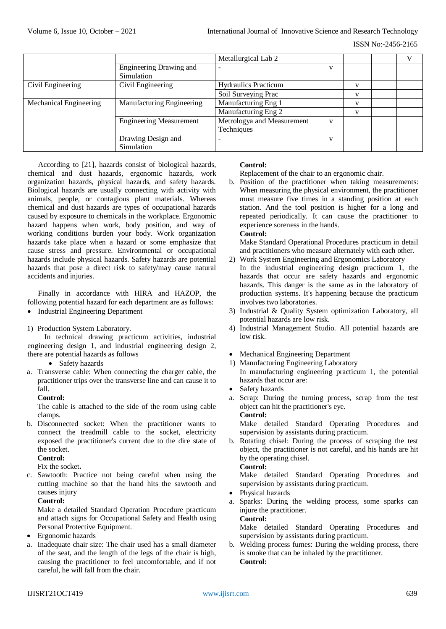|                        |                                | Metallurgical Lab 2         |   |  |  |
|------------------------|--------------------------------|-----------------------------|---|--|--|
|                        | Engineering Drawing and        | $\overline{\phantom{a}}$    | V |  |  |
|                        | Simulation                     |                             |   |  |  |
| Civil Engineering      | Civil Engineering              | <b>Hydraulics Practicum</b> |   |  |  |
|                        |                                | Soil Surveying Prac         |   |  |  |
| Mechanical Engineering | Manufacturing Engineering      | Manufacturing Eng 1         |   |  |  |
|                        |                                | Manufacturing Eng 2         |   |  |  |
|                        | <b>Engineering Measurement</b> | Metrologya and Measurement  | V |  |  |
|                        |                                | Techniques                  |   |  |  |
|                        | Drawing Design and             | $\overline{\phantom{0}}$    | V |  |  |
|                        | Simulation                     |                             |   |  |  |

According to [21], hazards consist of biological hazards, chemical and dust hazards, ergonomic hazards, work organization hazards, physical hazards, and safety hazards. Biological hazards are usually connecting with activity with animals, people, or contagious plant materials. Whereas chemical and dust hazards are types of occupational hazards caused by exposure to chemicals in the workplace. Ergonomic hazard happens when work, body position, and way of working conditions burden your body. Work organization hazards take place when a hazard or some emphasize that cause stress and pressure. Environmental or occupational hazards include physical hazards. Safety hazards are potential hazards that pose a direct risk to safety/may cause natural accidents and injuries.

Finally in accordance with HIRA and HAZOP, the following potential hazard for each department are as follows: • Industrial Engineering Department

## 1) Production System Laboratory.

In technical drawing practicum activities, industrial engineering design 1, and industrial engineering design 2, there are potential hazards as follows

- Safety hazards
- a. Transverse cable: When connecting the charger cable, the practitioner trips over the transverse line and can cause it to fall.

## **Control:**

The cable is attached to the side of the room using cable clamps.

b. Disconnected socket: When the practitioner wants to connect the treadmill cable to the socket, electricity exposed the practitioner's current due to the dire state of the socket.

# **Control:**

Fix the socket**.**

c. Sawtooth: Practice not being careful when using the cutting machine so that the hand hits the sawtooth and causes injury

## **Control:**

Make a detailed Standard Operation Procedure practicum and attach signs for Occupational Safety and Health using Personal Protective Equipment.

- Ergonomic hazards
- a. Inadequate chair size: The chair used has a small diameter of the seat, and the length of the legs of the chair is high, causing the practitioner to feel uncomfortable, and if not careful, he will fall from the chair.

## **Control:**

Replacement of the chair to an ergonomic chair.

b. Position of the practitioner when taking measurements: When measuring the physical environment, the practitioner must measure five times in a standing position at each station. And the tool position is higher for a long and repeated periodically. It can cause the practitioner to experience soreness in the hands.

# **Control:**

Make Standard Operational Procedures practicum in detail and practitioners who measure alternately with each other.

- 2) Work System Engineering and Ergonomics Laboratory
- In the industrial engineering design practicum 1, the hazards that occur are safety hazards and ergonomic hazards. This danger is the same as in the laboratory of production systems. It's happening because the practicum involves two laboratories.
- 3) Industrial & Quality System optimization Laboratory, all potential hazards are low risk.
- 4) Industrial Management Studio. All potential hazards are low risk.
- Mechanical Engineering Department
- 1) Manufacturing Engineering Laboratory
- In manufacturing engineering practicum 1, the potential hazards that occur are:
- Safety hazards
- a. Scrap: During the turning process, scrap from the test object can hit the practitioner's eye.

**Control:**

Make detailed Standard Operating Procedures and supervision by assistants during practicum.

b. Rotating chisel: During the process of scraping the test object, the practitioner is not careful, and his hands are hit by the operating chisel.

## **Control:**

Make detailed Standard Operating Procedures and supervision by assistants during practicum.

- Physical hazards
- a. Sparks: During the welding process, some sparks can injure the practitioner.

**Control:**

Make detailed Standard Operating Procedures and supervision by assistants during practicum.

b. Welding process fumes: During the welding process, there is smoke that can be inhaled by the practitioner. **Control:**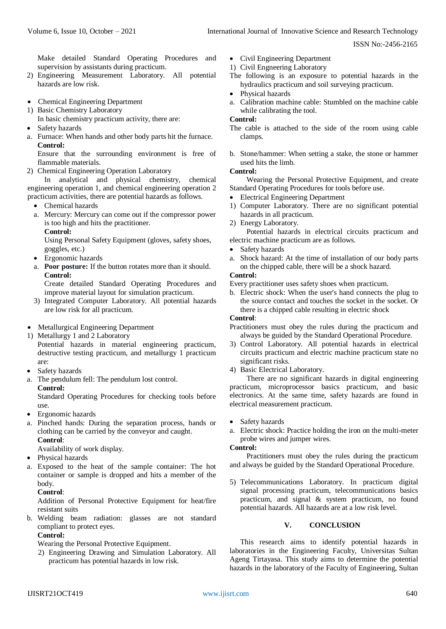Make detailed Standard Operating Procedures and supervision by assistants during practicum.

- 2) Engineering Measurement Laboratory. All potential hazards are low risk.
- Chemical Engineering Department
- 1) Basic Chemistry Laboratory
	- In basic chemistry practicum activity, there are:
- Safety hazards
- a. Furnace: When hands and other body parts hit the furnace. **Control:**

Ensure that the surrounding environment is free of flammable materials.

2) Chemical Engineering Operation Laboratory

In analytical and physical chemistry, chemical engineering operation 1, and chemical engineering operation 2 practicum activities, there are potential hazards as follows.

- Chemical hazards
- a. Mercury: Mercury can come out if the compressor power is too high and hits the practitioner.

**Control:** Using Personal Safety Equipment (gloves, safety shoes, goggles, etc.)

- Ergonomic hazards
- a. **Poor posture:** If the button rotates more than it should. **Control:**

Create detailed Standard Operating Procedures and improve material layout for simulation practicum.

- 3) Integrated Computer Laboratory. All potential hazards are low risk for all practicum.
- Metallurgical Engineering Department
- 1) Metallurgy 1 and 2 Laboratory

Potential hazards in material engineering practicum, destructive testing practicum, and metallurgy 1 practicum are:

- Safety hazards
- a. The pendulum fell: The pendulum lost control. **Control:**

Standard Operating Procedures for checking tools before use.

- Ergonomic hazards
- a. Pinched hands: During the separation process, hands or clothing can be carried by the conveyor and caught. **Control**:

Availability of work display.

- Physical hazards
- a. Exposed to the heat of the sample container: The hot container or sample is dropped and hits a member of the body.

**Control**:

Addition of Personal Protective Equipment for heat/fire resistant suits

b. Welding beam radiation: glasses are not standard compliant to protect eyes.

## **Control:**

Wearing the Personal Protective Equipment.

2) Engineering Drawing and Simulation Laboratory. All practicum has potential hazards in low risk.

Civil Engineering Department

1) Civil Engneering Laboratory

- The following is an exposure to potential hazards in the hydraulics practicum and soil surveying practicum.
- Physical hazards
- a. Calibration machine cable: Stumbled on the machine cable while calibrating the tool.

# **Control:**

- The cable is attached to the side of the room using cable clamps.
- b. Stone/hammer: When setting a stake, the stone or hammer used hits the limb.

# **Control:**

Wearing the Personal Protective Equipment, and create Standard Operating Procedures for tools before use.

- Electrical Engineering Department
- 1) Computer Laboratory. There are no significant potential hazards in all practicum.
- 2) Energy Laboratory.

Potential hazards in electrical circuits practicum and electric machine practicum are as follows.

- Safety hazards
- a. Shock hazard: At the time of installation of our body parts on the chipped cable, there will be a shock hazard.

# **Control:**

Every practitioner uses safety shoes when practicum.

b. Electric shock: When the user's hand connects the plug to the source contact and touches the socket in the socket. Or there is a chipped cable resulting in electric shock

# **Control**:

Practitioners must obey the rules during the practicum and always be guided by the Standard Operational Procedure.

- 3) Control Laboratory. All potential hazards in electrical circuits practicum and electric machine practicum state no significant risks.
- 4) Basic Electrical Laboratory.

There are no significant hazards in digital engineering practicum, microprocessor basics practicum, and basic electronics. At the same time, safety hazards are found in electrical measurement practicum.

- Safety hazards
- a. Electric shock: Practice holding the iron on the multi-meter probe wires and jumper wires.

#### **Control:**

Practitioners must obey the rules during the practicum and always be guided by the Standard Operational Procedure.

5) Telecommunications Laboratory. In practicum digital signal processing practicum, telecommunications basics practicum, and signal & system practicum, no found potential hazards. All hazards are at a low risk level.

## **V. CONCLUSION**

This research aims to identify potential hazards in laboratories in the Engineering Faculty, Universitas Sultan Ageng Tirtayasa. This study aims to determine the potential hazards in the laboratory of the Faculty of Engineering, Sultan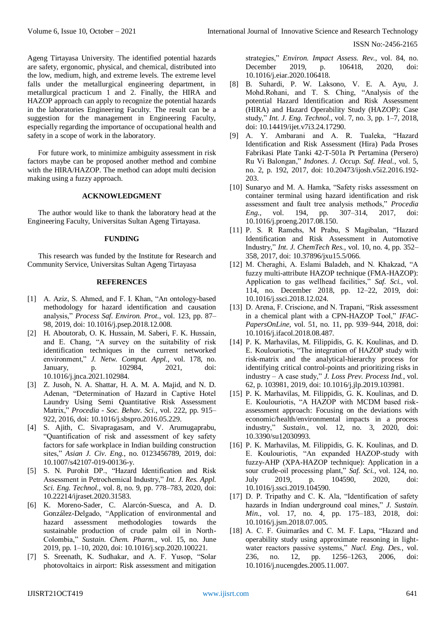Ageng Tirtayasa University. The identified potential hazards are safety, ergonomic, physical, and chemical, distributed into the low, medium, high, and extreme levels. The extreme level falls under the metallurgical engineering department, in metallurgical practicum 1 and 2. Finally, the HIRA and HAZOP approach can apply to recognize the potential hazards in the laboratories Engineering Faculty. The result can be a suggestion for the management in Engineering Faculty, especially regarding the importance of occupational health and safety in a scope of work in the laboratory.

For future work, to minimize ambiguity assessment in risk factors maybe can be proposed another method and combine with the HIRA/HAZOP. The method can adopt multi decision making using a fuzzy approach.

#### **ACKNOWLEDGMENT**

The author would like to thank the laboratory head at the Engineering Faculty, Universitas Sultan Ageng Tirtayasa.

#### **FUNDING**

This research was funded by the Institute for Research and Community Service, Universitas Sultan Ageng Tirtayasa

#### **REFERENCES**

- [1] A. Aziz, S. Ahmed, and F. I. Khan, "An ontology-based methodology for hazard identification and causation analysis," *Process Saf. Environ. Prot.*, vol. 123, pp. 87– 98, 2019, doi: 10.1016/j.psep.2018.12.008.
- [2] H. Aboutorab, O. K. Hussain, M. Saberi, F. K. Hussain, and E. Chang, "A survey on the suitability of risk identification techniques in the current networked environment," *J. Netw. Comput. Appl.*, vol. 178, no. January, p. 102984, 2021, doi: 10.1016/j.jnca.2021.102984.
- [3] Z. Jusoh, N. A. Shattar, H. A. M. A. Majid, and N. D. Adenan, "Determination of Hazard in Captive Hotel Laundry Using Semi Quantitative Risk Assessment Matrix," *Procedia - Soc. Behav. Sci.*, vol. 222, pp. 915– 922, 2016, doi: 10.1016/j.sbspro.2016.05.229.
- [4] S. Ajith, C. Sivapragasam, and V. Arumugaprabu, "Quantification of risk and assessment of key safety factors for safe workplace in Indian building construction sites," *Asian J. Civ. Eng.*, no. 0123456789, 2019, doi: 10.1007/s42107-019-00136-y.
- [5] S. N. Purohit DP., "Hazard Identification and Risk Assessment in Petrochemical Industry," *Int. J. Res. Appl. Sci. Eng. Technol.*, vol. 8, no. 9, pp. 778–783, 2020, doi: 10.22214/ijraset.2020.31583.
- [6] K. Moreno-Sader, C. Alarcón-Suesca, and A. D. González-Delgado, "Application of environmental and hazard assessment methodologies towards the sustainable production of crude palm oil in North-Colombia," *Sustain. Chem. Pharm.*, vol. 15, no. June 2019, pp. 1–10, 2020, doi: 10.1016/j.scp.2020.100221.
- [7] S. Sreenath, K. Sudhakar, and A. F. Yusop, "Solar photovoltaics in airport: Risk assessment and mitigation

strategies," *Environ. Impact Assess. Rev.*, vol. 84, no. December 2019, p. 106418, 2020, doi: 10.1016/j.eiar.2020.106418.

- [8] B. Suhardi, P. W. Laksono, V. E. A. Ayu, J. Mohd.Rohani, and T. S. Ching, "Analysis of the potential Hazard Identification and Risk Assessment (HIRA) and Hazard Operability Study (HAZOP): Case study," *Int. J. Eng. Technol.*, vol. 7, no. 3, pp. 1–7, 2018, doi: 10.14419/ijet.v7i3.24.17290.
- [9] A. Y. Ambarani and A. R. Tualeka, "Hazard Identification and Risk Assessment (Hira) Pada Proses Fabrikasi Plate Tanki 42-T-501a Pt Pertamina (Persero) Ru Vi Balongan," *Indones. J. Occup. Saf. Heal.*, vol. 5, no. 2, p. 192, 2017, doi: 10.20473/ijosh.v5i2.2016.192- 203.
- [10] Sunaryo and M. A. Hamka, "Safety risks assessment on container terminal using hazard identification and risk assessment and fault tree analysis methods," *Procedia Eng.*, vol. 194, pp. 307–314, 2017, doi: 10.1016/j.proeng.2017.08.150.
- [11] P. S. R Ramehs, M Prabu, S Magibalan, "Hazard Identification and Risk Assessment in Automotive Industry," *Int. J. ChemTech Res.*, vol. 10, no. 4, pp. 352– 358, 2017, doi: 10.37896/jxu15.5/066.
- [12] M. Cheraghi, A. Eslami Baladeh, and N. Khakzad, "A fuzzy multi-attribute HAZOP technique (FMA-HAZOP): Application to gas wellhead facilities," *Saf. Sci.*, vol. 114, no. December 2018, pp. 12–22, 2019, doi: 10.1016/j.ssci.2018.12.024.
- [13] D. Arena, F. Criscione, and N. Trapani, "Risk assessment" in a chemical plant with a CPN-HAZOP Tool," *IFAC-PapersOnLine*, vol. 51, no. 11, pp. 939–944, 2018, doi: 10.1016/j.ifacol.2018.08.487.
- [14] P. K. Marhavilas, M. Filippidis, G. K. Koulinas, and D. E. Koulouriotis, "The integration of HAZOP study with risk-matrix and the analytical-hierarchy process for identifying critical control-points and prioritizing risks in industry – A case study," *J. Loss Prev. Process Ind.*, vol. 62, p. 103981, 2019, doi: 10.1016/j.jlp.2019.103981.
- [15] P. K. Marhavilas, M. Filippidis, G. K. Koulinas, and D. E. Koulouriotis, "A HAZOP with MCDM based riskassessment approach: Focusing on the deviations with economic/health/environmental impacts in a process industry," *Sustain.*, vol. 12, no. 3, 2020, doi: 10.3390/su12030993.
- [16] P. K. Marhavilas, M. Filippidis, G. K. Koulinas, and D. E. Koulouriotis, "An expanded HAZOP-study with fuzzy-AHP (XPA-HAZOP technique): Application in a sour crude-oil processing plant," *Saf. Sci.*, vol. 124, no. July 2019, p. 104590, 2020, doi: 10.1016/j.ssci.2019.104590.
- [17] D. P. Tripathy and C. K. Ala, "Identification of safety hazards in Indian underground coal mines," *J. Sustain. Min.*, vol. 17, no. 4, pp. 175–183, 2018, doi: 10.1016/j.jsm.2018.07.005.
- [18] A. C. F. Guimarães and C. M. F. Lapa, "Hazard and operability study using approximate reasoning in lightwater reactors passive systems," *Nucl. Eng. Des.*, vol. 236, no. 12, pp. 1256–1263, 2006, doi: 10.1016/j.nucengdes.2005.11.007.